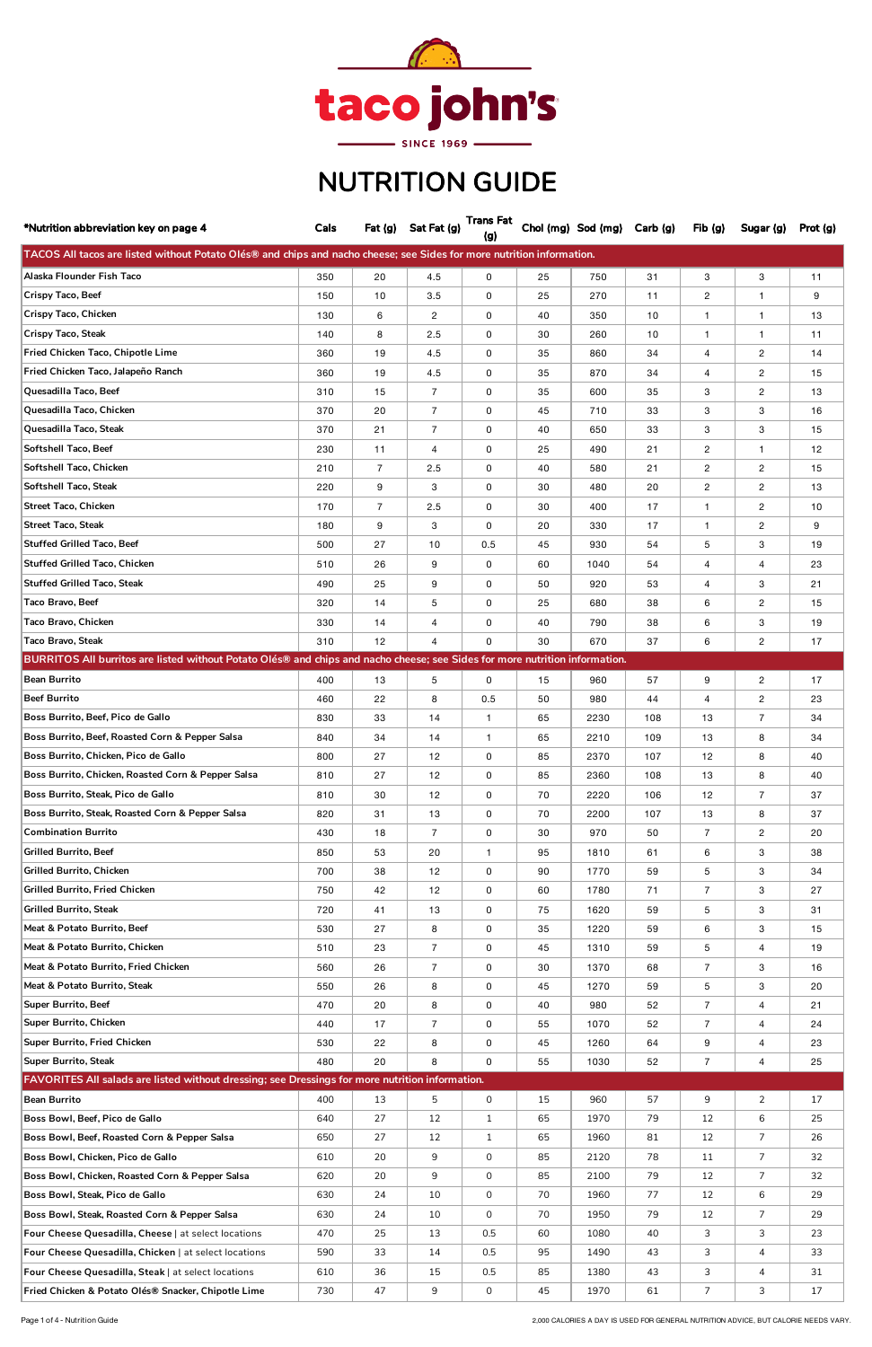| *Nutrition abbreviation key on page 4                                                                                       | Cals |                | Fat (g) Sat Fat (g) | <b>Trans Fat</b><br>(g) |    | Chol (mg) Sod (mg) Carb (g) |     | Fib(g)         | Sugar (g)      | Prot (g) |
|-----------------------------------------------------------------------------------------------------------------------------|------|----------------|---------------------|-------------------------|----|-----------------------------|-----|----------------|----------------|----------|
| TACOS All tacos are listed without Potato Olés® and chips and nacho cheese; see Sides for more nutrition information.       |      |                |                     |                         |    |                             |     |                |                |          |
| Alaska Flounder Fish Taco                                                                                                   | 350  | 20             | 4.5                 | 0                       | 25 | 750                         | 31  | 3              | 3              | 11       |
| Crispy Taco, Beef                                                                                                           | 150  | 10             | 3.5                 | 0                       | 25 | 270                         | 11  | $\overline{c}$ | $\mathbf{1}$   | 9        |
| <b>Crispy Taco, Chicken</b>                                                                                                 | 130  | 6              | 2                   | 0                       | 40 | 350                         | 10  | $\mathbf{1}$   | $\mathbf{1}$   | 13       |
| <b>Crispy Taco, Steak</b>                                                                                                   | 140  | 8              | 2.5                 | 0                       | 30 | 260                         | 10  | $\mathbf{1}$   | $\mathbf{1}$   | 11       |
| Fried Chicken Taco, Chipotle Lime                                                                                           | 360  | 19             | 4.5                 | 0                       | 35 | 860                         | 34  | 4              | $\overline{2}$ | 14       |
| Fried Chicken Taco, Jalapeño Ranch                                                                                          | 360  | 19             | 4.5                 | 0                       | 35 | 870                         | 34  | 4              | $\overline{2}$ | 15       |
| Quesadilla Taco, Beef                                                                                                       | 310  | 15             | $\overline{7}$      | 0                       | 35 | 600                         | 35  | 3              | $\overline{2}$ | 13       |
| Quesadilla Taco, Chicken                                                                                                    | 370  | 20             | 7                   | 0                       | 45 | 710                         | 33  | 3              | 3              | 16       |
| Quesadilla Taco, Steak                                                                                                      | 370  | 21             | $\overline{7}$      | 0                       | 40 | 650                         | 33  | 3              | 3              | 15       |
| Softshell Taco, Beef                                                                                                        | 230  | 11             | 4                   | 0                       | 25 | 490                         | 21  | $\overline{2}$ | $\mathbf{1}$   | 12       |
| Softshell Taco, Chicken                                                                                                     | 210  | $\overline{7}$ | 2.5                 | 0                       | 40 | 580                         | 21  | $\overline{c}$ | $\overline{2}$ | 15       |
| Softshell Taco, Steak                                                                                                       | 220  | 9              | 3                   | 0                       | 30 | 480                         | 20  | $\overline{c}$ | $\overline{2}$ | 13       |
| <b>Street Taco, Chicken</b>                                                                                                 | 170  | $\overline{7}$ | 2.5                 | 0                       | 30 | 400                         | 17  | $\mathbf{1}$   | $\mathbf{2}$   | 10       |
| <b>Street Taco, Steak</b>                                                                                                   | 180  | 9              | 3                   | $\mathbf 0$             | 20 | 330                         | 17  | $\mathbf{1}$   | $\overline{2}$ | 9        |
| <b>Stuffed Grilled Taco, Beef</b>                                                                                           | 500  | 27             | 10                  | 0.5                     | 45 | 930                         | 54  | 5              | 3              | 19       |
| <b>Stuffed Grilled Taco, Chicken</b>                                                                                        | 510  | 26             | 9                   | 0                       | 60 | 1040                        | 54  | 4              | $\overline{4}$ | 23       |
| <b>Stuffed Grilled Taco, Steak</b>                                                                                          | 490  | 25             | 9                   | 0                       | 50 | 920                         | 53  | 4              | 3              | 21       |
| Taco Bravo, Beef                                                                                                            | 320  | 14             | 5                   | 0                       | 25 | 680                         | 38  | 6              | $\overline{2}$ | 15       |
| Taco Bravo, Chicken                                                                                                         | 330  | 14             | 4                   | 0                       | 40 | 790                         | 38  | 6              | 3              | 19       |
| <b>Taco Bravo, Steak</b>                                                                                                    | 310  | 12             | $\overline{4}$      | 0                       | 30 | 670                         | 37  | 6              | $\mathbf{2}$   | 17       |
| BURRITOS All burritos are listed without Potato Olés® and chips and nacho cheese; see Sides for more nutrition information. |      |                |                     |                         |    |                             |     |                |                |          |
| <b>Bean Burrito</b>                                                                                                         | 400  | 13             | 5                   | 0                       | 15 | 960                         | 57  | 9              | $\overline{2}$ | 17       |
| <b>Beef Burrito</b>                                                                                                         | 460  | 22             | 8                   | 0.5                     | 50 | 980                         | 44  | $\overline{4}$ | $\overline{2}$ | 23       |
| Boss Burrito, Beef, Pico de Gallo                                                                                           | 830  | 33             | 14                  | $\mathbf{1}$            | 65 | 2230                        | 108 | 13             | $\overline{7}$ | 34       |
| Boss Burrito, Beef, Roasted Corn & Pepper Salsa                                                                             | 840  | 34             | 14                  | $\mathbf{1}$            | 65 | 2210                        | 109 | 13             | 8              | 34       |
| Boss Burrito, Chicken, Pico de Gallo                                                                                        | 800  | 27             | 12                  | 0                       | 85 | 2370                        | 107 | 12             | 8              | 40       |
| Boss Burrito, Chicken, Roasted Corn & Pepper Salsa                                                                          | 810  | 27             | 12                  | 0                       | 85 | 2360                        | 108 | 13             | 8              | 40       |
| Boss Burrito, Steak, Pico de Gallo                                                                                          | 810  | 30             | 12                  | 0                       | 70 | 2220                        | 106 | 12             | $\overline{7}$ | 37       |
| Boss Burrito, Steak, Roasted Corn & Pepper Salsa                                                                            | 820  | 31             | 13                  | 0                       | 70 | 2200                        | 107 | 13             | 8              | 37       |
| <b>Combination Burrito</b>                                                                                                  | 430  | 18             | $\overline{7}$      | 0                       | 30 | 970                         | 50  | $\overline{7}$ | $\overline{2}$ | 20       |
| <b>Grilled Burrito, Beef</b>                                                                                                | 850  | 53             | 20                  | $\mathbf{1}$            | 95 | 1810                        | 61  | 6              | 3              | 38       |
| Grilled Burrito, Chicken                                                                                                    | 700  | 38             | 12                  | 0                       | 90 | 1770                        | 59  | 5              | 3              | 34       |
| Grilled Burrito, Fried Chicken                                                                                              | 750  | 42             | 12                  | 0                       | 60 | 1780                        | 71  | $\overline{7}$ | 3              | 27       |
| <b>Grilled Burrito, Steak</b>                                                                                               | 720  | 41             | 13                  | 0                       | 75 | 1620                        | 59  | 5              | 3              | 31       |
| Meat & Potato Burrito, Beef                                                                                                 | 530  | 27             | 8                   | 0                       | 35 | 1220                        | 59  | 6              | 3              | 15       |
| Meat & Potato Burrito, Chicken                                                                                              | 510  | 23             | $\overline{7}$      | 0                       | 45 | 1310                        | 59  | 5              | 4              | 19       |
| Meat & Potato Burrito, Fried Chicken                                                                                        | 560  | 26             | $\overline{7}$      | 0                       | 30 | 1370                        | 68  | $\overline{7}$ | 3              | 16       |
| Meat & Potato Burrito, Steak                                                                                                | 550  | 26             | 8                   | 0                       | 45 | 1270                        | 59  | 5              | 3              | 20       |
| <b>Super Burrito, Beef</b>                                                                                                  | 470  | 20             | 8                   | 0                       | 40 | 980                         | 52  | $\overline{7}$ | 4              | 21       |
| Super Burrito, Chicken                                                                                                      | 440  | 17             | $\overline{7}$      | 0                       | 55 | 1070                        | 52  | $\overline{7}$ | 4              | 24       |
| Super Burrito, Fried Chicken                                                                                                | 530  | 22             | 8                   | 0                       | 45 | 1260                        | 64  | 9              | $\overline{4}$ | 23       |
| <b>Super Burrito, Steak</b>                                                                                                 | 480  | 20             | 8                   | 0                       | 55 | 1030                        | 52  | $\overline{7}$ | 4              | 25       |
| FAVORITES All salads are listed without dressing; see Dressings for more nutrition information.                             |      |                |                     |                         |    |                             |     |                |                |          |
| <b>Bean Burrito</b>                                                                                                         | 400  | 13             | 5                   | 0                       | 15 | 960                         | 57  | 9              | $\mathbf{2}$   | 17       |
| Boss Bowl, Beef, Pico de Gallo                                                                                              | 640  | 27             | 12                  | $\mathbf{1}$            | 65 | 1970                        | 79  | 12             | 6              | 25       |
| Boss Bowl, Beef, Roasted Corn & Pepper Salsa                                                                                | 650  | 27             | 12                  | $\mathbf{1}$            | 65 | 1960                        | 81  | 12             | $\overline{7}$ | 26       |
| Boss Bowl, Chicken, Pico de Gallo                                                                                           | 610  | 20             | 9                   | 0                       | 85 | 2120                        | 78  | 11             | 7              | 32       |
| Boss Bowl, Chicken, Roasted Corn & Pepper Salsa                                                                             | 620  | 20             | 9                   | 0                       | 85 | 2100                        | 79  | 12             | $\overline{7}$ | 32       |
| Boss Bowl, Steak, Pico de Gallo                                                                                             | 630  | 24             | 10                  | 0                       | 70 | 1960                        | 77  | 12             | 6              | 29       |
| Boss Bowl, Steak, Roasted Corn & Pepper Salsa                                                                               | 630  | 24             | 10                  | $\mathsf{O}\xspace$     | 70 | 1950                        | 79  | 12             | $\overline{7}$ | 29       |
| Four Cheese Quesadilla, Cheese   at select locations                                                                        | 470  | 25             | 13                  | 0.5                     | 60 | 1080                        | 40  | 3              | 3              | 23       |
| Four Cheese Quesadilla, Chicken   at select locations                                                                       | 590  | 33             | 14                  | 0.5                     | 95 | 1490                        | 43  | 3              | 4              | 33       |
| Four Cheese Quesadilla, Steak   at select locations                                                                         | 610  | 36             | 15                  | 0.5                     | 85 | 1380                        | 43  | 3              | 4              | 31       |
| Fried Chicken & Potato Olés® Snacker, Chipotle Lime                                                                         | 730  | 47             | 9                   | $\overline{0}$          | 45 | 1970                        | 61  | $\overline{7}$ | 3              | 17       |



## NUTRITION GUIDE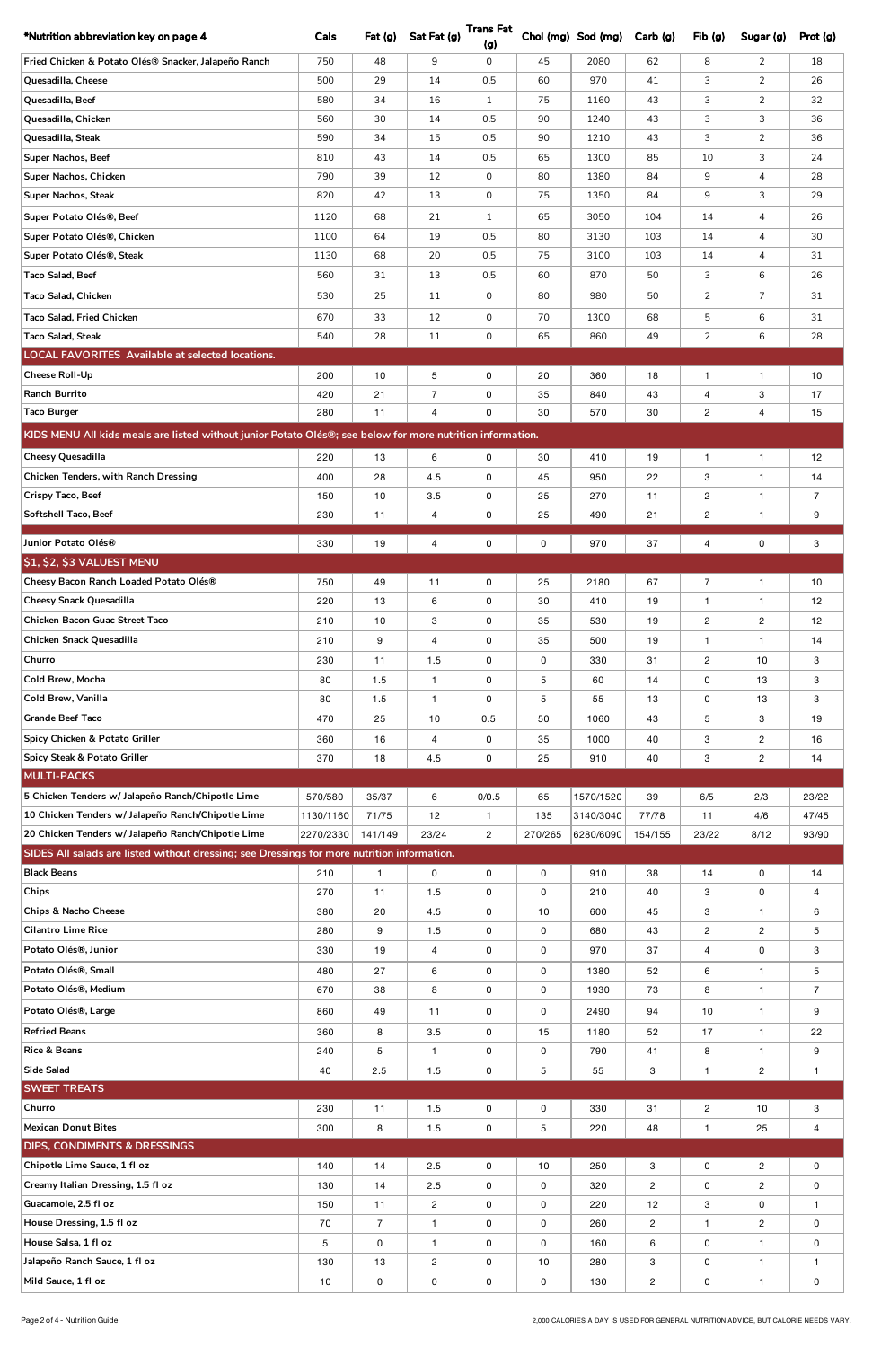| *Nutrition abbreviation key on page 4                                                                      | Cals                   | Fat(g)           | Sat Fat (g)    | <b>Trans Fat</b><br>(g)        |                | Chol (mg) Sod (mg)     | Carb (g)         | Fib(g)                  | Sugar (g)             | Prot (g)       |
|------------------------------------------------------------------------------------------------------------|------------------------|------------------|----------------|--------------------------------|----------------|------------------------|------------------|-------------------------|-----------------------|----------------|
| Fried Chicken & Potato Olés® Snacker, Jalapeño Ranch                                                       | 750                    | 48               | 9              | 0                              | 45             | 2080                   | 62               | 8                       | $\overline{2}$        | 18             |
| Quesadilla, Cheese                                                                                         | 500                    | 29               | 14             | 0.5                            | 60             | 970                    | 41               | 3                       | $\overline{2}$        | 26             |
| Quesadilla, Beef                                                                                           | 580                    | 34               | 16             | $\mathbf{1}$                   | 75             | 1160                   | 43               | 3                       | $\overline{2}$        | 32             |
| Quesadilla, Chicken                                                                                        | 560                    | 30               | 14             | 0.5                            | 90             | 1240                   | 43               | 3                       | 3                     | 36             |
| Quesadilla, Steak                                                                                          | 590                    | 34               | 15             | 0.5                            | 90             | 1210                   | 43               | 3                       | 2                     | 36             |
| Super Nachos, Beef                                                                                         | 810                    | 43               | 14             | 0.5                            | 65             | 1300                   | 85               | 10                      | 3                     | 24             |
| Super Nachos, Chicken                                                                                      | 790                    | 39               | 12             | 0                              | 80             | 1380                   | 84               | 9                       | 4                     | 28             |
| Super Nachos, Steak                                                                                        | 820                    | 42               | 13             | 0                              | 75             | 1350                   | 84               | 9                       | 3                     | 29             |
| Super Potato Olés®, Beef                                                                                   | 1120                   | 68               | 21             | $\mathbf{1}$                   | 65             | 3050                   | 104              | 14                      | 4                     | 26             |
| Super Potato Olés®, Chicken                                                                                | 1100                   | 64               | 19             | 0.5                            | 80             | 3130                   | 103              | 14                      | $\overline{4}$        | 30             |
| Super Potato Olés®, Steak                                                                                  | 1130                   | 68               | 20             | 0.5                            | 75             | 3100                   | 103              | 14                      | $\overline{4}$        | 31             |
| Taco Salad, Beef                                                                                           | 560                    | 31               | 13             | 0.5                            | 60             | 870                    | 50               | 3                       | 6                     | 26             |
| Taco Salad, Chicken                                                                                        | 530                    | 25               | 11             | 0                              | 80             | 980                    | 50               | 2                       | $\overline{7}$        | 31             |
| Taco Salad, Fried Chicken                                                                                  | 670                    | 33               | 12             | 0                              | 70             | 1300                   | 68               | 5                       | 6                     | 31             |
| <b>Taco Salad, Steak</b>                                                                                   | 540                    | 28               | 11             | 0                              | 65             | 860                    | 49               | 2                       | 6                     | 28             |
| <b>LOCAL FAVORITES Available at selected locations.</b>                                                    |                        |                  |                |                                |                |                        |                  |                         |                       |                |
| Cheese Roll-Up                                                                                             | 200                    | 10               | 5              | 0                              | 20             | 360                    | 18               | $\mathbf{1}$            | $\mathbf{1}$          | 10             |
| <b>Ranch Burrito</b>                                                                                       | 420                    | 21               | $\overline{7}$ | 0                              | 35             | 840                    | 43               | 4                       | 3                     | 17             |
| <b>Taco Burger</b>                                                                                         | 280                    | 11               | 4              | 0                              | 30             | 570                    | 30               | $\overline{c}$          | $\overline{4}$        | 15             |
| KIDS MENU All kids meals are listed without junior Potato Olés®; see below for more nutrition information. |                        |                  |                |                                |                |                        |                  |                         |                       |                |
| Cheesy Quesadilla                                                                                          | 220                    | 13               | 6              | 0                              | 30             | 410                    | 19               | $\mathbf{1}$            | $\mathbf{1}$          | 12             |
| <b>Chicken Tenders, with Ranch Dressing</b>                                                                | 400                    | 28               | 4.5            | 0                              | 45             | 950                    | 22               | 3                       | $\mathbf{1}$          | 14             |
| Crispy Taco, Beef                                                                                          | 150                    | 10               | 3.5            | 0                              | 25             | 270                    | 11               | $\mathbf{2}$            | $\mathbf{1}$          | $\overline{7}$ |
| Softshell Taco, Beef                                                                                       | 230                    | 11               | $\overline{4}$ | 0                              | 25             | 490                    | 21               | $\overline{\mathbf{c}}$ | $\mathbf{1}$          | 9              |
| Junior Potato Olés®                                                                                        | 330                    | 19               | 4              | 0                              | 0              | 970                    | 37               | $\overline{4}$          | 0                     | 3              |
| <b>\$1, \$2, \$3 VALUEST MENU</b>                                                                          |                        |                  |                |                                |                |                        |                  |                         |                       |                |
| Cheesy Bacon Ranch Loaded Potato Olés®                                                                     | 750                    | 49               | 11             | 0                              | 25             | 2180                   | 67               | $\overline{7}$          | $\mathbf{1}$          | 10             |
| <b>Cheesy Snack Quesadilla</b>                                                                             | 220                    | 13               | 6              | 0                              | 30             | 410                    | 19               | $\mathbf{1}$            | $\mathbf{1}$          | 12             |
| Chicken Bacon Guac Street Taco                                                                             | 210                    | 10               | 3              | 0                              | 35             | 530                    | 19               | $\mathbf{2}$            | $\overline{2}$        | 12             |
| Chicken Snack Quesadilla                                                                                   | 210                    | 9                | 4              | 0                              | 35             | 500                    | 19               | $\mathbf{1}$            | $\mathbf{1}$          | 14             |
| Churro                                                                                                     | 230                    | 11               | 1.5            | 0                              | 0              | 330                    | 31               | $\mathbf{2}$            | 10                    | 3              |
| Cold Brew, Mocha                                                                                           | 80                     | 1.5              | $\mathbf{1}$   | 0                              | 5              | 60                     | 14               | 0                       | 13                    | 3              |
| Cold Brew, Vanilla                                                                                         | 80                     | 1.5              | $\mathbf{1}$   | 0                              | 5              | 55                     | 13               | 0                       | 13                    | 3              |
| <b>Grande Beef Taco</b>                                                                                    | 470                    | 25               | 10             | 0.5                            | 50             | 1060                   | 43               | 5                       | 3                     | 19             |
| Spicy Chicken & Potato Griller                                                                             | 360                    | 16               | 4              | 0                              | 35             | 1000                   | 40               | 3                       | $\overline{2}$        | 16             |
| Spicy Steak & Potato Griller                                                                               | 370                    | 18               | 4.5            | 0                              | 25             | 910                    | 40               | 3                       | $\overline{c}$        | 14             |
| <b>MULTI-PACKS</b>                                                                                         |                        |                  |                |                                |                |                        |                  |                         |                       |                |
| 5 Chicken Tenders w/ Jalapeño Ranch/Chipotle Lime<br>10 Chicken Tenders w/ Jalapeño Ranch/Chipotle Lime    | 570/580                | 35/37            | 6              | 0/0.5                          | 65             | 1570/1520              | 39               | 6/5                     | 2/3                   | 23/22          |
| 20 Chicken Tenders w/ Jalapeño Ranch/Chipotle Lime                                                         | 1130/1160<br>2270/2330 | 71/75<br>141/149 | 12<br>23/24    | $\mathbf{1}$<br>$\overline{c}$ | 135<br>270/265 | 3140/3040<br>6280/6090 | 77/78<br>154/155 | 11<br>23/22             | 4/6<br>8/12           | 47/45<br>93/90 |
| SIDES All salads are listed without dressing; see Dressings for more nutrition information.                |                        |                  |                |                                |                |                        |                  |                         |                       |                |
| <b>Black Beans</b>                                                                                         | 210                    | $\mathbf{1}$     | $\mathbf 0$    | $\mathsf 0$                    | $\mathsf 0$    | 910                    | 38               | 14                      | 0                     | 14             |
| <b>Chips</b>                                                                                               | 270                    | 11               | 1.5            | 0                              | 0              | 210                    | 40               | 3                       | 0                     | 4              |
| <b>Chips &amp; Nacho Cheese</b>                                                                            | 380                    | 20               | 4.5            | 0                              | 10             | 600                    | 45               | 3                       | $\mathbf{1}$          | 6              |
| <b>Cilantro Lime Rice</b>                                                                                  | 280                    | 9                | 1.5            | 0                              | 0              | 680                    | 43               | $\overline{c}$          | $\overline{c}$        | 5              |
| Potato Olés®, Junior                                                                                       | 330                    | 19               | 4              | 0                              | 0              | 970                    | 37               | $\overline{4}$          | 0                     | 3              |
| Potato Olés®, Small                                                                                        | 480                    | 27               | 6              | 0                              | 0              | 1380                   | 52               | 6                       | $\mathbf{1}$          | 5              |
| Potato Olés®, Medium                                                                                       | 670                    | 38               | 8              | 0                              | 0              | 1930                   | 73               | 8                       | $\mathbf{1}$          | $\overline{7}$ |
| Potato Olés®, Large                                                                                        | 860                    | 49               | 11             | 0                              | 0              | 2490                   | 94               | 10                      | $\mathbf{1}$          | 9              |
| <b>Refried Beans</b>                                                                                       | 360                    | 8                | 3.5            | $\mathsf{O}$                   | 15             | 1180                   | 52               | 17                      | $\mathbf{1}$          | 22             |
| <b>Rice &amp; Beans</b>                                                                                    | 240                    | $5\phantom{.0}$  | $\mathbf{1}$   | 0                              | $\mathsf 0$    | 790                    | 41               | 8                       | $\mathbf{1}$          | 9              |
| <b>Side Salad</b>                                                                                          | 40                     | 2.5              | $1.5$          | $\pmb{0}$                      | 5              | 55                     | $\mathbf{3}$     | $\mathbf{1}$            | $\overline{c}$        | $\mathbf{1}$   |
| <b>SWEET TREATS</b>                                                                                        |                        |                  |                |                                |                |                        |                  |                         |                       |                |
| Churro                                                                                                     | 230                    | 11               | 1.5            | $\mathsf{O}$                   | 0              | 330                    | 31               | $\overline{2}$          | 10                    | $\mathbf{3}$   |
| <b>Mexican Donut Bites</b>                                                                                 | 300                    | 8                | 1.5            | $\mathsf 0$                    | 5              | 220                    | 48               | $\mathbf{1}$            | 25                    | $\overline{4}$ |
| <b>DIPS, CONDIMENTS &amp; DRESSINGS</b>                                                                    |                        |                  |                |                                |                |                        |                  |                         |                       |                |
| Chipotle Lime Sauce, 1 fl oz                                                                               | 140                    | 14               | 2.5            | 0                              | 10             | 250                    | 3                | 0                       | $\mathbf{2}^{\prime}$ | 0              |
| Creamy Italian Dressing, 1.5 fl oz                                                                         | 130                    | 14               | 2.5            | 0                              | 0              | 320                    | $\overline{c}$   | 0                       | $\overline{c}$        | 0              |
| Guacamole, 2.5 fl oz                                                                                       | 150                    | 11               | $\overline{c}$ | 0                              | 0              | 220                    | 12               | 3                       | 0                     | $\mathbf{1}$   |
| House Dressing, 1.5 fl oz                                                                                  | 70                     | $\overline{7}$   | $\mathbf{1}$   | 0                              | 0              | 260                    | $\overline{c}$   | $\mathbf{1}$            | $\mathbf{2}^{\prime}$ | $\mathsf{O}$   |
| House Salsa, 1 fl oz                                                                                       | 5                      | 0                | $\mathbf{1}$   | 0                              | 0              | 160                    | 6                | $\mathbf 0$             | $\mathbf{1}$          | 0              |
| Jalapeño Ranch Sauce, 1 fl oz                                                                              | 130                    | 13               | $\overline{c}$ | 0                              | 10             | 280                    | 3                | $\mathsf{O}\xspace$     | $\mathbf{1}$          | $\mathbf{1}$   |
| Mild Sauce, 1 fl oz                                                                                        | 10                     | $\pmb{0}$        | $\pmb{0}$      | $\pmb{0}$                      | $\mathsf 0$    | 130                    | $\overline{c}$   | $\pmb{0}$               | $\mathbf{1}$          | 0              |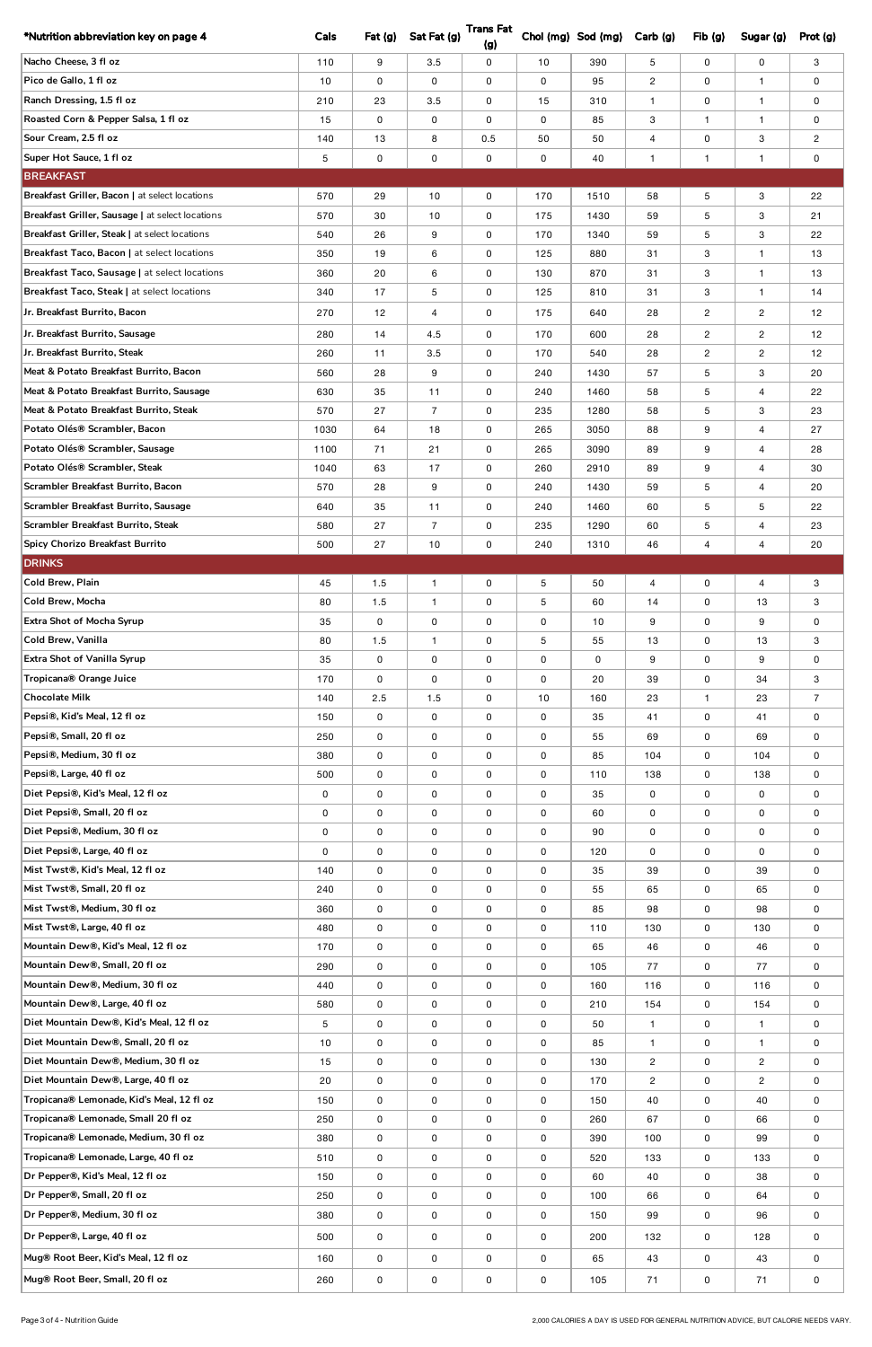| *Nutrition abbreviation key on page 4                                            | Cals           | Fat (g)     | Sat Fat (g)    | <b>Trans Fat</b>    |         | Chol (mg) Sod (mg) | Carb(g)           | Fib(g)                   | Sugar (g)                    | Prot (g)            |
|----------------------------------------------------------------------------------|----------------|-------------|----------------|---------------------|---------|--------------------|-------------------|--------------------------|------------------------------|---------------------|
| Nacho Cheese, 3 fl oz                                                            |                |             |                | (g)                 |         |                    |                   |                          |                              |                     |
| Pico de Gallo, 1 fl oz                                                           | 110<br>10      | 9<br>0      | 3.5<br>0       | 0                   | 10<br>0 | 390<br>95          | 5                 | 0                        | 0<br>$\mathbf{1}$            | 3                   |
| Ranch Dressing, 1.5 fl oz                                                        |                |             |                | 0                   |         |                    | $\overline{c}$    | 0                        |                              | 0                   |
| Roasted Corn & Pepper Salsa, 1 fl oz                                             | 210<br>15      | 23<br>0     | 3.5<br>0       | 0<br>0              | 15<br>0 | 310<br>85          | $\mathbf{1}$<br>3 | 0<br>$\mathbf{1}$        | $\mathbf{1}$<br>$\mathbf{1}$ | 0<br>0              |
| Sour Cream, 2.5 fl oz                                                            | 140            | 13          | 8              | 0.5                 | 50      | 50                 | 4                 | 0                        | 3                            | $\overline{c}$      |
| Super Hot Sauce, 1 fl oz                                                         | 5              | 0           | 0              | 0                   | 0       | 40                 | $\mathbf{1}$      | $\mathbf{1}$             | $\mathbf{1}$                 | 0                   |
| <b>BREAKFAST</b>                                                                 |                |             |                |                     |         |                    |                   |                          |                              |                     |
| Breakfast Griller, Bacon   at select locations                                   | 570            | 29          | 10             | 0                   | 170     | 1510               | 58                | 5                        | 3                            | 22                  |
| Breakfast Griller, Sausage   at select locations                                 | 570            | 30          | 10             | 0                   | 175     | 1430               | 59                | 5                        | 3                            | 21                  |
| Breakfast Griller, Steak   at select locations                                   | 540            | 26          | 9              | 0                   | 170     | 1340               | 59                | 5                        | 3                            | 22                  |
| <b>Breakfast Taco. Bacon I at select locations</b>                               | 350            | 19          | 6              | 0                   | 125     | 880                | 31                | 3                        | $\mathbf{1}$                 | 13                  |
| Breakfast Taco, Sausage   at select locations                                    | 360            | 20          | 6              | 0                   | 130     | 870                | 31                | 3                        | $\mathbf{1}$                 | 13                  |
| Breakfast Taco, Steak   at select locations                                      | 340            | 17          | 5              | 0                   | 125     | 810                | 31                | 3                        | $\mathbf{1}$                 | 14                  |
| Jr. Breakfast Burrito, Bacon                                                     | 270            | 12          | 4              | 0                   | 175     | 640                | 28                | $\overline{2}$           | $\overline{2}$               | 12                  |
| Jr. Breakfast Burrito, Sausage                                                   | 280            | 14          | 4.5            | 0                   | 170     | 600                | 28                | $\overline{2}$           | $\overline{2}$               | 12                  |
| Jr. Breakfast Burrito, Steak                                                     | 260            | 11          | 3.5            | 0                   | 170     | 540                | 28                | $\overline{c}$           | $\overline{2}$               | 12                  |
| Meat & Potato Breakfast Burrito, Bacon                                           | 560            | 28          | 9              | 0                   | 240     | 1430               | 57                | 5                        | 3                            | 20                  |
| Meat & Potato Breakfast Burrito, Sausage                                         | 630            | 35          | 11             | 0                   | 240     | 1460               | 58                | 5                        | $\overline{4}$               | 22                  |
| Meat & Potato Breakfast Burrito, Steak                                           | 570            | 27          | $\overline{7}$ | 0                   | 235     | 1280               | 58                | 5                        | 3                            | 23                  |
| Potato Olés® Scrambler, Bacon                                                    | 1030           | 64          | 18             | 0                   | 265     | 3050               | 88                | 9                        | $\overline{4}$               | 27                  |
| Potato Olés® Scrambler, Sausage                                                  | 1100           | 71          | 21             | 0                   | 265     | 3090               | 89                | 9                        | 4                            | 28                  |
| Potato Olés® Scrambler, Steak                                                    | 1040           | 63          | 17             | 0                   | 260     | 2910               | 89                | 9                        | $\overline{4}$               | 30                  |
| Scrambler Breakfast Burrito, Bacon                                               | 570            | 28          | 9              | 0                   | 240     | 1430               | 59                | 5                        | 4                            | 20                  |
| Scrambler Breakfast Burrito, Sausage                                             | 640            | 35          | 11             | 0                   | 240     | 1460               | 60                | 5                        | 5                            | 22                  |
| Scrambler Breakfast Burrito, Steak                                               | 580            | 27          | $\overline{7}$ | 0                   | 235     | 1290               | 60                | $\mathbf 5$              | $\overline{4}$               | 23                  |
| Spicy Chorizo Breakfast Burrito                                                  | 500            | 27          | 10             | 0                   | 240     | 1310               | 46                | 4                        | $\overline{4}$               | 20                  |
| <b>DRINKS</b>                                                                    |                |             |                |                     |         |                    |                   |                          |                              |                     |
| Cold Brew, Plain                                                                 | 45             | 1.5         | $\mathbf{1}$   | 0                   | $5\,$   | 50                 | 4                 | 0                        | $\overline{4}$               | 3                   |
| Cold Brew, Mocha                                                                 | 80             | 1.5         | $\mathbf{1}$   | 0                   | $5\,$   | 60                 | 14                | 0                        | 13                           | 3                   |
| <b>Extra Shot of Mocha Syrup</b>                                                 | 35             | 0           | 0              | 0                   | 0       | 10                 | 9                 | 0                        | 9                            | 0                   |
| Cold Brew, Vanilla                                                               | 80             | 1.5         | $\mathbf{1}$   | 0                   | 5       | 55                 | 13                | 0                        | 13                           | 3                   |
| Extra Shot of Vanilla Syrup                                                      | 35             | 0           | 0              | 0                   | 0       | 0                  | 9                 | 0                        | 9                            | 0                   |
| Tropicana® Orange Juice<br><b>Chocolate Milk</b>                                 | 170            | 0           | 0              | 0                   | 0       | 20                 | 39                | 0                        | 34                           | 3                   |
| Pepsi®, Kid's Meal, 12 fl oz                                                     | 140<br>150     | 2.5<br>0    | 1.5<br>0       | 0<br>0              | 10<br>0 | 160<br>35          | 23<br>41          | $\mathbf{1}$<br>0        | 23<br>41                     | $\overline{7}$<br>0 |
| Pepsi®, Small, 20 fl oz                                                          | 250            | 0           | 0              | 0                   | 0       | 55                 | 69                | 0                        | 69                           | 0                   |
| Pepsi®, Medium, 30 fl oz                                                         | 380            | 0           | 0              | 0                   | 0       | 85                 | 104               | 0                        | 104                          | 0                   |
| Pepsi®, Large, 40 fl oz                                                          | 500            | 0           | 0              | 0                   | 0       | 110                | 138               | 0                        | 138                          | 0                   |
| Diet Pepsi®, Kid's Meal, 12 fl oz                                                | 0              | 0           | 0              | 0                   | 0       | 35                 | 0                 | 0                        | 0                            | 0                   |
| Diet Pepsi®, Small, 20 fl oz                                                     | 0              | 0           | 0              | 0                   | 0       | 60                 | 0                 | 0                        | 0                            | 0                   |
| Diet Pepsi®, Medium, 30 fl oz                                                    | 0              | 0           | 0              | 0                   | 0       | 90                 | 0                 | 0                        | 0                            | 0                   |
| Diet Pepsi®, Large, 40 fl oz                                                     | 0              | 0           | 0              | 0                   | 0       | 120                | 0                 | 0                        | 0                            | 0                   |
| Mist Twst®, Kid's Meal, 12 fl oz                                                 | 140            | 0           | 0              | 0                   | 0       | 35                 | 39                | 0                        | 39                           | 0                   |
| Mist Twst®, Small, 20 fl oz                                                      | 240            | 0           | 0              | 0                   | 0       | 55                 | 65                | 0                        | 65                           | 0                   |
| Mist Twst®, Medium, 30 fl oz                                                     | 360            | 0           | 0              | 0                   | 0       | 85                 | 98                | 0                        | 98                           | 0                   |
| Mist Twst®, Large, 40 fl oz                                                      | 480            | 0           | 0              | 0                   | 0       | 110                | 130               | 0                        | 130                          | 0                   |
| Mountain Dew®, Kid's Meal, 12 fl oz                                              | 170            | 0           | 0              | 0                   | 0       | 65                 | 46                | 0                        | 46                           | 0                   |
| Mountain Dew®, Small, 20 fl oz                                                   | 290            | 0           | 0              | 0                   | 0       | 105                | 77                | 0                        | 77                           | 0                   |
| Mountain Dew®, Medium, 30 fl oz                                                  | 440            | 0           | 0              | 0                   | 0       | 160                | 116               | 0                        | 116                          | 0                   |
| Mountain Dew®, Large, 40 fl oz                                                   | 580            | 0           | 0              | 0                   | 0       | 210                | 154               | 0                        | 154                          | 0                   |
| Diet Mountain Dew®, Kid's Meal, 12 fl oz                                         | $\overline{5}$ | 0           | 0              | 0                   | 0       | 50                 | $\mathbf{1}$      | 0                        | $\mathbf{1}$                 | 0                   |
| Diet Mountain Dew®, Small, 20 fl oz                                              | 10             | $\mathsf 0$ | 0              | 0                   | 0       | 85                 | $\mathbf{1}$      | 0                        | $\mathbf{1}$                 | 0                   |
| Diet Mountain Dew®, Medium, 30 fl oz                                             | 15             | 0           | 0              | 0                   | 0       | 130                | $\overline{c}$    | $\mathsf 0$              | $\overline{2}$               | 0                   |
| Diet Mountain Dew®, Large, 40 fl oz                                              | 20             | 0           | 0              | 0                   | 0       | 170                | $\mathbf{2}$      | 0                        | $\overline{c}$               | 0                   |
| Tropicana® Lemonade, Kid's Meal, 12 fl oz<br>Tropicana® Lemonade, Small 20 fl oz | 150<br>250     | 0           | 0              | 0                   | 0       | 150<br>260         | 40<br>67          | $\mathsf 0$              | 40                           | 0                   |
| Tropicana® Lemonade, Medium, 30 fl oz                                            | 380            | 0<br>0      | 0<br>0         | 0<br>0              | 0<br>0  | 390                | 100               | 0<br>$\mathsf{O}\xspace$ | 66<br>99                     | 0<br>0              |
| Tropicana® Lemonade, Large, 40 fl oz                                             | 510            | 0           | 0              | 0                   | 0       | 520                | 133               | $\mathsf{O}\xspace$      | 133                          | 0                   |
| Dr Pepper®, Kid's Meal, 12 fl oz                                                 | 150            | $\pmb{0}$   | 0              | $\mathsf{O}\xspace$ | 0       | 60                 | 40                | $\mathsf{O}\xspace$      | 38                           | 0                   |
| Dr Pepper®, Small, 20 fl oz                                                      | 250            | 0           | 0              | $\mathsf 0$         | 0       | 100                | 66                | $\mathsf 0$              | 64                           | 0                   |
| Dr Pepper®, Medium, 30 fl oz                                                     | 380            | $\pmb{0}$   | $\pmb{0}$      | $\mathsf{O}\xspace$ | 0       | 150                | 99                | $\mathsf{O}\xspace$      | 96                           | 0                   |
| Dr Pepper®, Large, 40 fl oz                                                      | 500            | 0           | 0              | $\mathsf{O}\xspace$ | 0       | 200                | 132               | $\mathsf{O}\xspace$      | 128                          | 0                   |
| Mug® Root Beer, Kid's Meal, 12 fl oz                                             |                |             | $\mathsf 0$    |                     | 0       |                    | 43                |                          | 43                           |                     |
|                                                                                  | 160            | 0           |                | 0                   |         | 65                 |                   | 0                        |                              | 0                   |
| Mug® Root Beer, Small, 20 fl oz                                                  | 260            | $\pmb{0}$   | 0              | $\pmb{0}$           | 0       | 105                | 71                | $\pmb{0}$                | 71                           | 0                   |